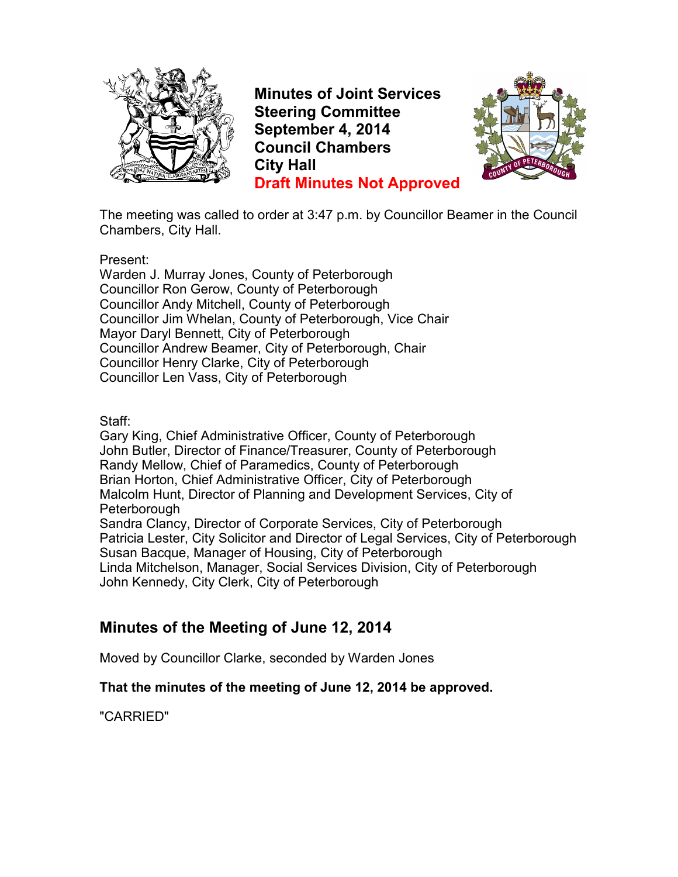

**Minutes of Joint Services Steering Committee September 4, 2014 Council Chambers City Hall Draft Minutes Not Approved**



The meeting was called to order at 3:47 p.m. by Councillor Beamer in the Council Chambers, City Hall.

Present:

Warden J. Murray Jones, County of Peterborough Councillor Ron Gerow, County of Peterborough Councillor Andy Mitchell, County of Peterborough Councillor Jim Whelan, County of Peterborough, Vice Chair Mayor Daryl Bennett, City of Peterborough Councillor Andrew Beamer, City of Peterborough, Chair Councillor Henry Clarke, City of Peterborough Councillor Len Vass, City of Peterborough

Staff:

Gary King, Chief Administrative Officer, County of Peterborough John Butler, Director of Finance/Treasurer, County of Peterborough Randy Mellow, Chief of Paramedics, County of Peterborough Brian Horton, Chief Administrative Officer, City of Peterborough Malcolm Hunt, Director of Planning and Development Services, City of Peterborough

Sandra Clancy, Director of Corporate Services, City of Peterborough Patricia Lester, City Solicitor and Director of Legal Services, City of Peterborough Susan Bacque, Manager of Housing, City of Peterborough Linda Mitchelson, Manager, Social Services Division, City of Peterborough John Kennedy, City Clerk, City of Peterborough

## **Minutes of the Meeting of June 12, 2014**

Moved by Councillor Clarke, seconded by Warden Jones

#### **That the minutes of the meeting of June 12, 2014 be approved.**

"CARRIED"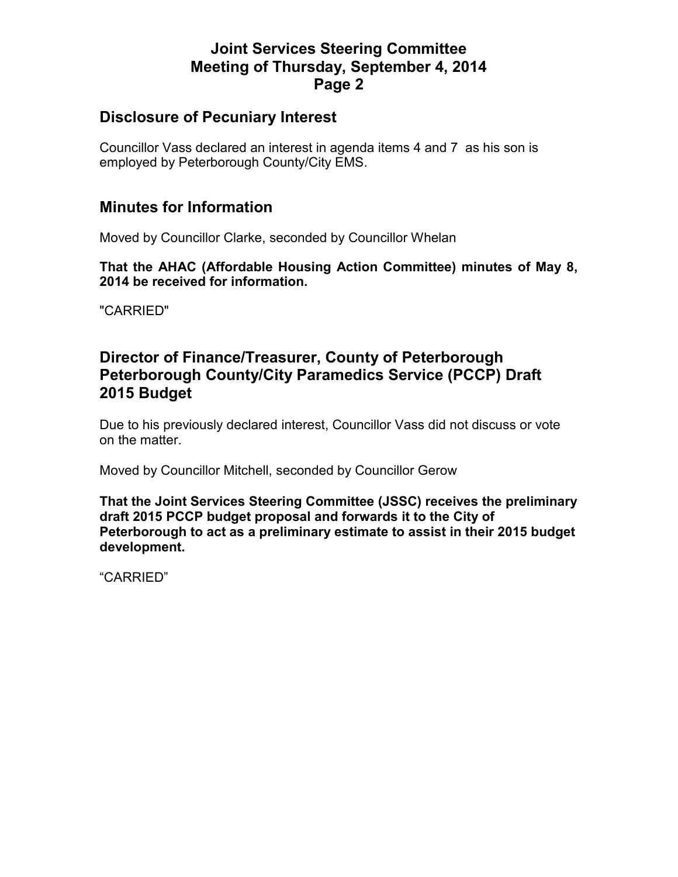### **Disclosure of Pecuniary Interest**

Councillor Vass declared an interest in agenda items 4 and 7 as his son is employed by Peterborough County/City EMS.

### **Minutes for Information**

Moved by Councillor Clarke, seconded by Councillor Whelan

**That the AHAC (Affordable Housing Action Committee) minutes of May 8, 2014 be received for information.** 

"CARRIED"

## **Director of Finance/Treasurer, County of Peterborough Peterborough County/City Paramedics Service (PCCP) Draft 2015 Budget**

Due to his previously declared interest, Councillor Vass did not discuss or vote on the matter.

Moved by Councillor Mitchell, seconded by Councillor Gerow

**That the Joint Services Steering Committee (JSSC) receives the preliminary draft 2015 PCCP budget proposal and forwards it to the City of Peterborough to act as a preliminary estimate to assist in their 2015 budget development.** 

"CARRIED"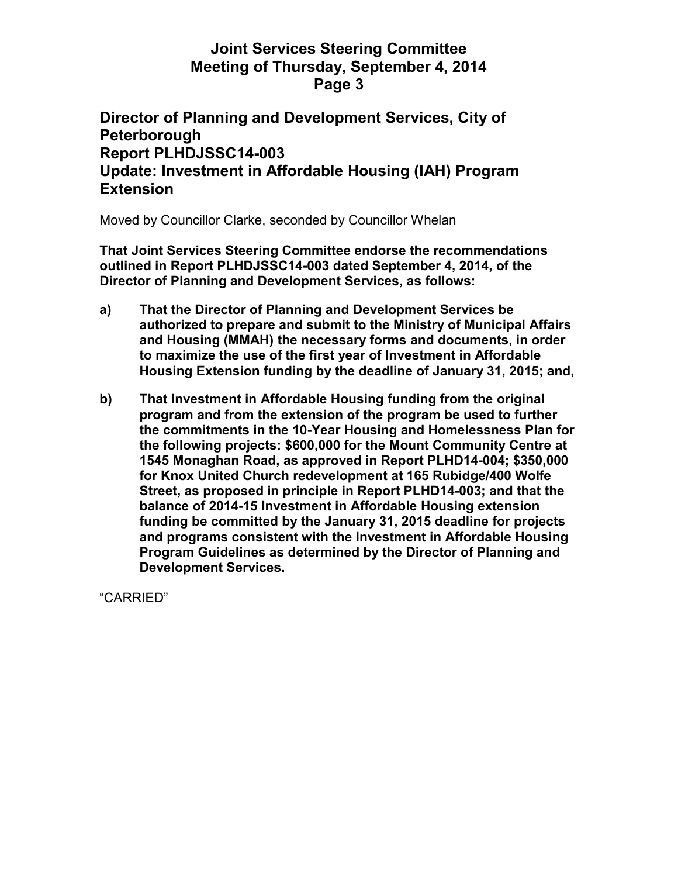### **Director of Planning and Development Services, City of Peterborough Report PLHDJSSC14-003 Update: Investment in Affordable Housing (IAH) Program Extension**

Moved by Councillor Clarke, seconded by Councillor Whelan

**That Joint Services Steering Committee endorse the recommendations outlined in Report PLHDJSSC14-003 dated September 4, 2014, of the Director of Planning and Development Services, as follows:** 

- **a) That the Director of Planning and Development Services be authorized to prepare and submit to the Ministry of Municipal Affairs and Housing (MMAH) the necessary forms and documents, in order to maximize the use of the first year of Investment in Affordable Housing Extension funding by the deadline of January 31, 2015; and,**
- **b) That Investment in Affordable Housing funding from the original program and from the extension of the program be used to further the commitments in the 10-Year Housing and Homelessness Plan for the following projects: \$600,000 for the Mount Community Centre at 1545 Monaghan Road, as approved in Report PLHD14-004; \$350,000 for Knox United Church redevelopment at 165 Rubidge/400 Wolfe Street, as proposed in principle in Report PLHD14-003; and that the balance of 2014-15 Investment in Affordable Housing extension funding be committed by the January 31, 2015 deadline for projects and programs consistent with the Investment in Affordable Housing Program Guidelines as determined by the Director of Planning and Development Services.**

"CARRIED"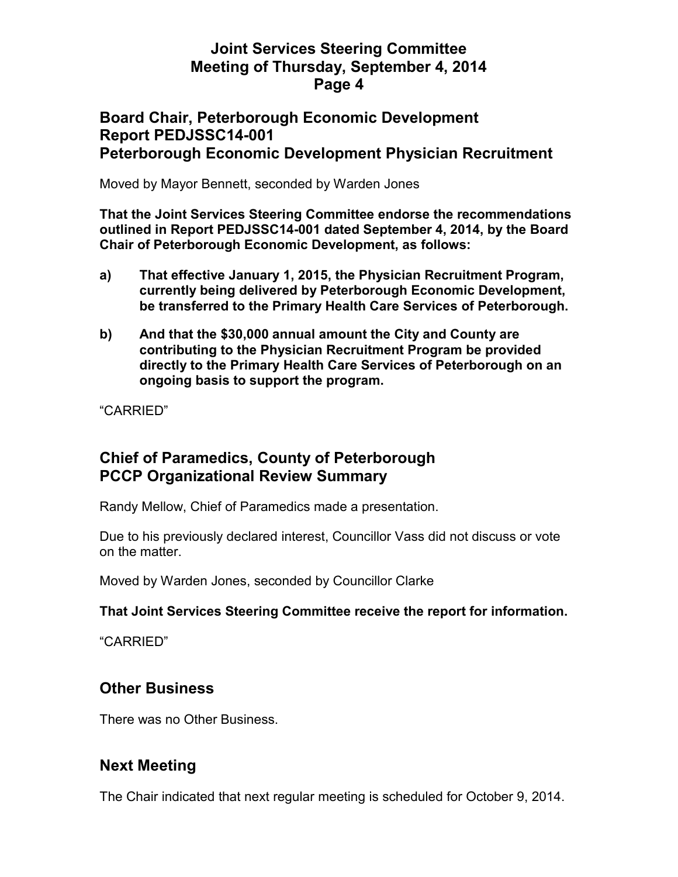### **Board Chair, Peterborough Economic Development Report PEDJSSC14-001 Peterborough Economic Development Physician Recruitment**

Moved by Mayor Bennett, seconded by Warden Jones

**That the Joint Services Steering Committee endorse the recommendations outlined in Report PEDJSSC14-001 dated September 4, 2014, by the Board Chair of Peterborough Economic Development, as follows:** 

- **a) That effective January 1, 2015, the Physician Recruitment Program, currently being delivered by Peterborough Economic Development, be transferred to the Primary Health Care Services of Peterborough.**
- **b) And that the \$30,000 annual amount the City and County are contributing to the Physician Recruitment Program be provided directly to the Primary Health Care Services of Peterborough on an ongoing basis to support the program.**

"CARRIED"

## **Chief of Paramedics, County of Peterborough PCCP Organizational Review Summary**

Randy Mellow, Chief of Paramedics made a presentation.

Due to his previously declared interest, Councillor Vass did not discuss or vote on the matter.

Moved by Warden Jones, seconded by Councillor Clarke

#### **That Joint Services Steering Committee receive the report for information.**

"CARRIED"

## **Other Business**

There was no Other Business.

## **Next Meeting**

The Chair indicated that next regular meeting is scheduled for October 9, 2014.